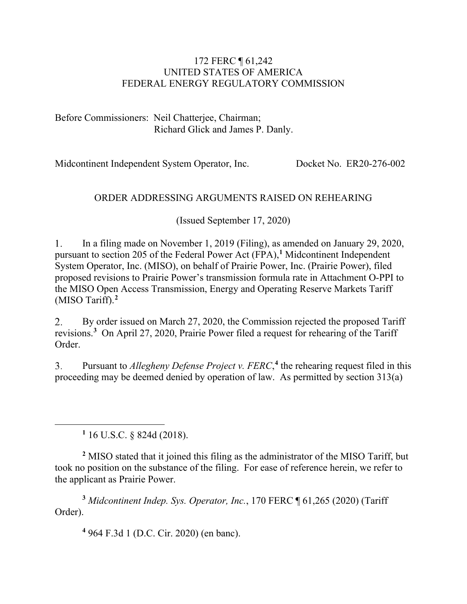#### 172 FERC ¶ 61,242 UNITED STATES OF AMERICA FEDERAL ENERGY REGULATORY COMMISSION

Before Commissioners: Neil Chatterjee, Chairman; Richard Glick and James P. Danly.

Midcontinent Independent System Operator, Inc. Docket No. ER20-276-002

### ORDER ADDRESSING ARGUMENTS RAISED ON REHEARING

(Issued September 17, 2020)

 $1.$ In a filing made on November 1, 2019 (Filing), as amended on January 29, 2020, pursuant to section 205 of the Federal Power Act (FPA),**[1](#page-0-0)** Midcontinent Independent System Operator, Inc. (MISO), on behalf of Prairie Power, Inc. (Prairie Power), filed proposed revisions to Prairie Power's transmission formula rate in Attachment O-PPI to the MISO Open Access Transmission, Energy and Operating Reserve Markets Tariff (MISO Tariff).**[2](#page-0-1)**

By order issued on March 27, 2020, the Commission rejected the proposed Tariff 2. revisions. **[3](#page-0-2)** On April 27, 2020, Prairie Power filed a request for rehearing of the Tariff Order.

Pursuant to *Allegheny Defense Project v. FERC*,<sup>[4](#page-0-3)</sup> the rehearing request filed in this  $\overline{3}$ . proceeding may be deemed denied by operation of law. As permitted by section 313(a)

**<sup>1</sup>** 16 U.S.C. § 824d (2018).

<span id="page-0-1"></span><span id="page-0-0"></span>**<sup>2</sup>** MISO stated that it joined this filing as the administrator of the MISO Tariff, but took no position on the substance of the filing. For ease of reference herein, we refer to the applicant as Prairie Power.

<span id="page-0-3"></span><span id="page-0-2"></span>**<sup>3</sup>** *Midcontinent Indep. Sys. Operator, Inc.*, 170 FERC ¶ 61,265 (2020) (Tariff Order).

**<sup>4</sup>** 964 F.3d 1 (D.C. Cir. 2020) (en banc).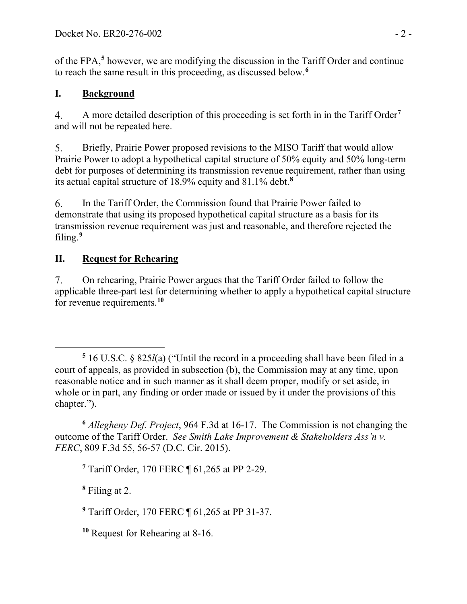of the FPA, **[5](#page-1-0)** however, we are modifying the discussion in the Tariff Order and continue to reach the same result in this proceeding, as discussed below.**[6](#page-1-1)**

# **I. Background**

A more detailed description of this proceeding is set forth in in the Tariff Order**[7](#page-1-2)**  $\overline{4}$ . and will not be repeated here.

Briefly, Prairie Power proposed revisions to the MISO Tariff that would allow  $5<sub>1</sub>$ Prairie Power to adopt a hypothetical capital structure of 50% equity and 50% long-term debt for purposes of determining its transmission revenue requirement, rather than using its actual capital structure of 18.9% equity and 81.1% debt.**[8](#page-1-3)**

6. In the Tariff Order, the Commission found that Prairie Power failed to demonstrate that using its proposed hypothetical capital structure as a basis for its transmission revenue requirement was just and reasonable, and therefore rejected the filing.**[9](#page-1-4)**

# **II. Request for Rehearing**

 $7<sub>1</sub>$ On rehearing, Prairie Power argues that the Tariff Order failed to follow the applicable three-part test for determining whether to apply a hypothetical capital structure for revenue requirements.**[10](#page-1-5)**

<span id="page-1-2"></span><span id="page-1-1"></span>**<sup>6</sup>** *Allegheny Def. Project*, 964 F.3d at 16-17. The Commission is not changing the outcome of the Tariff Order. *See Smith Lake Improvement & Stakeholders Ass'n v. FERC*, 809 F.3d 55, 56-57 (D.C. Cir. 2015).

**<sup>7</sup>** Tariff Order, 170 FERC ¶ 61,265 at PP 2-29.

<span id="page-1-3"></span>**<sup>8</sup>** Filing at 2.

<span id="page-1-4"></span>**<sup>9</sup>** Tariff Order, 170 FERC ¶ 61,265 at PP 31-37.

<span id="page-1-5"></span>**<sup>10</sup>** Request for Rehearing at 8-16.

<span id="page-1-0"></span>**<sup>5</sup>** 16 U.S.C. § 825*l*(a) ("Until the record in a proceeding shall have been filed in a court of appeals, as provided in subsection (b), the Commission may at any time, upon reasonable notice and in such manner as it shall deem proper, modify or set aside, in whole or in part, any finding or order made or issued by it under the provisions of this chapter.").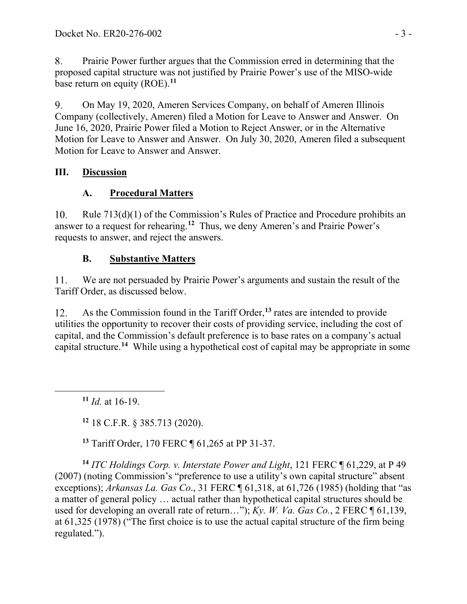8. Prairie Power further argues that the Commission erred in determining that the proposed capital structure was not justified by Prairie Power's use of the MISO-wide base return on equity (ROE). **[11](#page-2-0)**

9. On May 19, 2020, Ameren Services Company, on behalf of Ameren Illinois Company (collectively, Ameren) filed a Motion for Leave to Answer and Answer. On June 16, 2020, Prairie Power filed a Motion to Reject Answer, or in the Alternative Motion for Leave to Answer and Answer. On July 30, 2020, Ameren filed a subsequent Motion for Leave to Answer and Answer.

## **III. Discussion**

# **A. Procedural Matters**

10. Rule 713(d)(1) of the Commission's Rules of Practice and Procedure prohibits an answer to a request for rehearing.**[12](#page-2-1)** Thus, we deny Ameren's and Prairie Power's requests to answer, and reject the answers.

# **B. Substantive Matters**

11. We are not persuaded by Prairie Power's arguments and sustain the result of the Tariff Order, as discussed below.

As the Commission found in the Tariff Order, **[13](#page-2-2)** rates are intended to provide 12. utilities the opportunity to recover their costs of providing service, including the cost of capital, and the Commission's default preference is to base rates on a company's actual capital structure. **[14](#page-2-3)** While using a hypothetical cost of capital may be appropriate in some

<span id="page-2-0"></span>**<sup>11</sup>** *Id.* at 16-19.

**<sup>12</sup>** 18 C.F.R. § 385.713 (2020).

**<sup>13</sup>** Tariff Order, 170 FERC ¶ 61,265 at PP 31-37.

<span id="page-2-3"></span><span id="page-2-2"></span><span id="page-2-1"></span>**<sup>14</sup>** *ITC Holdings Corp. v. Interstate Power and Light*, 121 FERC ¶ 61,229, at P 49 (2007) (noting Commission's "preference to use a utility's own capital structure" absent exceptions); *Arkansas La. Gas Co*., 31 FERC ¶ 61,318, at 61,726 (1985) (holding that "as a matter of general policy … actual rather than hypothetical capital structures should be used for developing an overall rate of return…"); *Ky. W. Va. Gas Co.*, 2 FERC ¶ 61,139, at 61,325 (1978) ("The first choice is to use the actual capital structure of the firm being regulated.").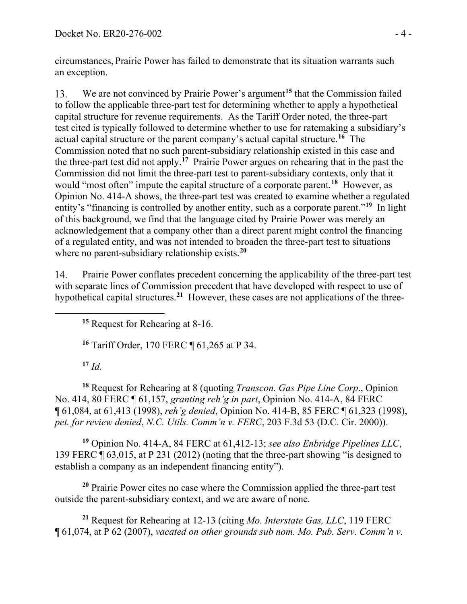circumstances, Prairie Power has failed to demonstrate that its situation warrants such an exception.

We are not convinced by Prairie Power's argument<sup>[15](#page-3-0)</sup> that the Commission failed 13. to follow the applicable three-part test for determining whether to apply a hypothetical capital structure for revenue requirements. As the Tariff Order noted, the three-part test cited is typically followed to determine whether to use for ratemaking a subsidiary's actual capital structure or the parent company's actual capital structure. **[16](#page-3-1)** The Commission noted that no such parent-subsidiary relationship existed in this case and the three-part test did not apply.**[17](#page-3-2)** Prairie Power argues on rehearing that in the past the Commission did not limit the three-part test to parent-subsidiary contexts, only that it would "most often" impute the capital structure of a corporate parent. **[18](#page-3-3)** However, as Opinion No. 414-A shows, the three-part test was created to examine whether a regulated entity's "financing is controlled by another entity, such as a corporate parent."**[19](#page-3-4)** In light of this background, we find that the language cited by Prairie Power was merely an acknowledgement that a company other than a direct parent might control the financing of a regulated entity, and was not intended to broaden the three-part test to situations where no parent-subsidiary relationship exists. **[20](#page-3-5)**

<span id="page-3-0"></span>14. Prairie Power conflates precedent concerning the applicability of the three-part test with separate lines of Commission precedent that have developed with respect to use of hypothetical capital structures.**[21](#page-3-6)** However, these cases are not applications of the three-

**<sup>15</sup>** Request for Rehearing at 8-16.

**<sup>16</sup>** Tariff Order, 170 FERC ¶ 61,265 at P 34.

**<sup>17</sup>** *Id.*

<span id="page-3-3"></span><span id="page-3-2"></span><span id="page-3-1"></span>**<sup>18</sup>** Request for Rehearing at 8 (quoting *Transcon. Gas Pipe Line Corp*., Opinion No. 414, 80 FERC ¶ 61,157, *granting reh'g in part*, Opinion No. 414-A, 84 FERC ¶ 61,084, at 61,413 (1998), *reh'g denied*, Opinion No. 414-B, 85 FERC ¶ 61,323 (1998), *pet. for review denied*, *N.C. Utils. Comm'n v. FERC*, 203 F.3d 53 (D.C. Cir. 2000)).

<span id="page-3-4"></span>**<sup>19</sup>** Opinion No. 414-A, 84 FERC at 61,412-13; *see also Enbridge Pipelines LLC*, 139 FERC ¶ 63,015, at P 231 (2012) (noting that the three-part showing "is designed to establish a company as an independent financing entity").

<span id="page-3-5"></span>**<sup>20</sup>** Prairie Power cites no case where the Commission applied the three-part test outside the parent-subsidiary context, and we are aware of none.

<span id="page-3-6"></span>**<sup>21</sup>** Request for Rehearing at 12-13 (citing *Mo. Interstate Gas, LLC*, 119 FERC ¶ 61,074, at P 62 (2007), *vacated on other grounds sub nom. Mo. Pub. Serv. Comm'n v.*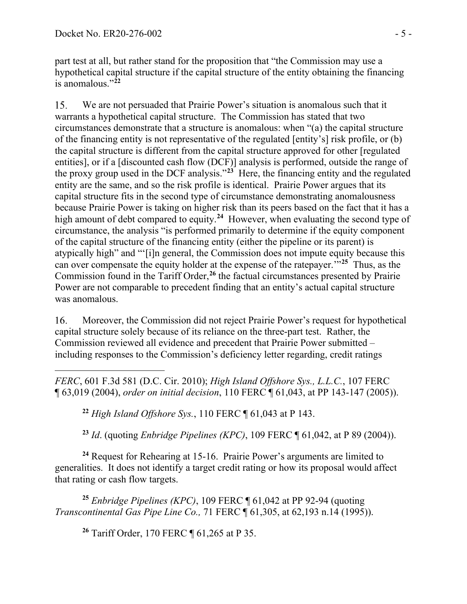part test at all, but rather stand for the proposition that "the Commission may use a hypothetical capital structure if the capital structure of the entity obtaining the financing is anomalous."**[22](#page-4-0)**

15. We are not persuaded that Prairie Power's situation is anomalous such that it warrants a hypothetical capital structure. The Commission has stated that two circumstances demonstrate that a structure is anomalous: when "(a) the capital structure of the financing entity is not representative of the regulated [entity's] risk profile, or (b) the capital structure is different from the capital structure approved for other [regulated entities], or if a [discounted cash flow (DCF)] analysis is performed, outside the range of the proxy group used in the DCF analysis."**[23](#page-4-1)** Here, the financing entity and the regulated entity are the same, and so the risk profile is identical. Prairie Power argues that its capital structure fits in the second type of circumstance demonstrating anomalousness because Prairie Power is taking on higher risk than its peers based on the fact that it has a high amount of debt compared to equity.<sup>[24](#page-4-2)</sup> However, when evaluating the second type of circumstance, the analysis "is performed primarily to determine if the equity component of the capital structure of the financing entity (either the pipeline or its parent) is atypically high" and "'[i]n general, the Commission does not impute equity because this can over compensate the equity holder at the expense of the ratepayer.'"**[25](#page-4-3)** Thus, as the Commission found in the Tariff Order, **[26](#page-4-4)** the factual circumstances presented by Prairie Power are not comparable to precedent finding that an entity's actual capital structure was anomalous.

Moreover, the Commission did not reject Prairie Power's request for hypothetical 16. capital structure solely because of its reliance on the three-part test. Rather, the Commission reviewed all evidence and precedent that Prairie Power submitted – including responses to the Commission's deficiency letter regarding, credit ratings

<span id="page-4-0"></span>*FERC*, 601 F.3d 581 (D.C. Cir. 2010); *High Island Offshore Sys., L.L.C.*, 107 FERC ¶ 63,019 (2004), *order on initial decision*, 110 FERC ¶ 61,043, at PP 143-147 (2005)).

**<sup>22</sup>** *High Island Offshore Sys.*, 110 FERC ¶ 61,043 at P 143.

**<sup>23</sup>** *Id*. (quoting *Enbridge Pipelines (KPC)*, 109 FERC ¶ 61,042, at P 89 (2004)).

<span id="page-4-2"></span><span id="page-4-1"></span>**<sup>24</sup>** Request for Rehearing at 15-16. Prairie Power's arguments are limited to generalities. It does not identify a target credit rating or how its proposal would affect that rating or cash flow targets.

<span id="page-4-4"></span><span id="page-4-3"></span>**<sup>25</sup>** *Enbridge Pipelines (KPC)*, 109 FERC ¶ 61,042 at PP 92-94 (quoting *Transcontinental Gas Pipe Line Co.,* 71 FERC ¶ 61,305, at 62,193 n.14 (1995)).

**<sup>26</sup>** Tariff Order, 170 FERC ¶ 61,265 at P 35.